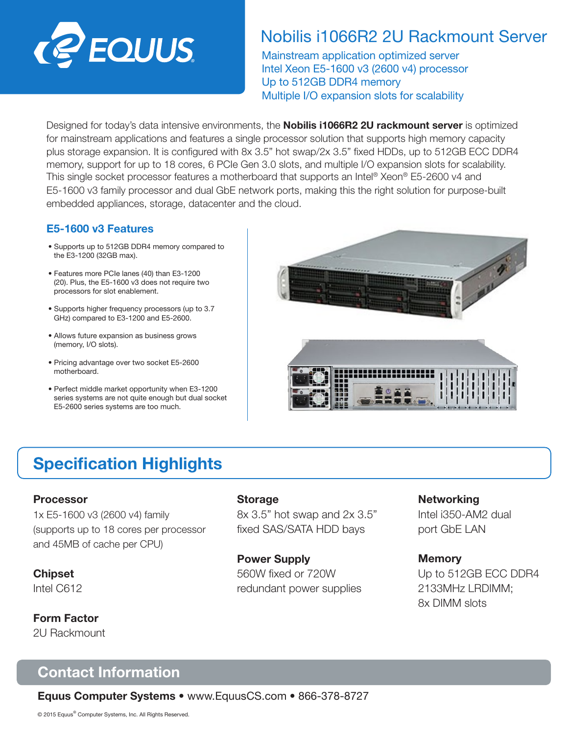

# Nobilis i1066R2 2U Rackmount Server

Mainstream application optimized server Intel Xeon E5-1600 v3 (2600 v4) processor Up to 512GB DDR4 memory Multiple I/O expansion slots for scalability

Designed for today's data intensive environments, the **Nobilis i1066R2 2U rackmount server** is optimized for mainstream applications and features a single processor solution that supports high memory capacity plus storage expansion. It is configured with 8x 3.5" hot swap/2x 3.5" fixed HDDs, up to 512GB ECC DDR4 memory, support for up to 18 cores, 6 PCIe Gen 3.0 slots, and multiple I/O expansion slots for scalability. This single socket processor features a motherboard that supports an Intel® Xeon® E5-2600 v4 and E5-1600 v3 family processor and dual GbE network ports, making this the right solution for purpose-built embedded appliances, storage, datacenter and the cloud.

### E5-1600 v3 Features

- Supports up to 512GB DDR4 memory compared to the E3-1200 (32GB max).
- Features more PCIe lanes (40) than E3-1200 (20). Plus, the E5-1600 v3 does not require two processors for slot enablement.
- Supports higher frequency processors (up to 3.7 GHz) compared to E3-1200 and E5-2600.
- Allows future expansion as business grows (memory, I/O slots).
- Pricing advantage over two socket E5-2600 motherboard.
- Perfect middle market opportunity when E3-1200 series systems are not quite enough but dual socket E5-2600 series systems are too much.



# Specification Highlights

### Processor

1x E5-1600 v3 (2600 v4) family (supports up to 18 cores per processor and 45MB of cache per CPU)

Chipset Intel C612

Form Factor 2U Rackmount

#### **Storage**

8x 3.5" hot swap and 2x 3.5" fixed SAS/SATA HDD bays

Power Supply 560W fixed or 720W redundant power supplies **Networking** 

Intel i350-AM2 dual port GbE LAN

### **Memory**

Up to 512GB ECC DDR4 2133MHz LRDIMM; 8x DIMM slots

# Contact Information

Equus Computer Systems • www.EquusCS.com • 866-378-8727